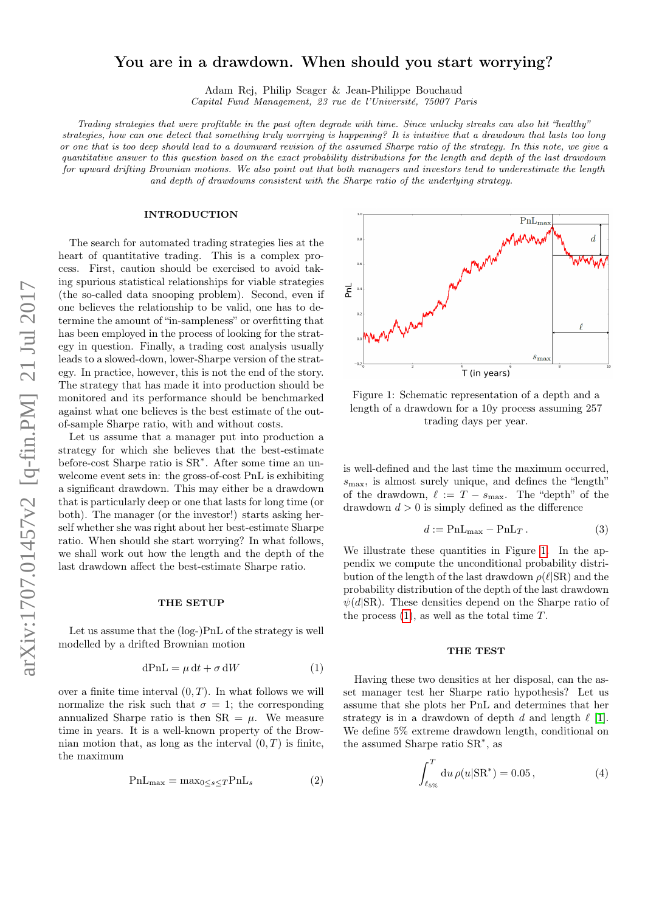# arXiv:1707.01457v2 [q-fin.PM] 21 Jul 2017 arXiv:1707.01457v2 [q-fin.PM] 21 Jul 2017

# You are in a drawdown. When should you start worrying?

Adam Rej, Philip Seager & Jean-Philippe Bouchaud Capital Fund Management, 23 rue de l'Université, 75007 Paris

Trading strategies that were profitable in the past often degrade with time. Since unlucky streaks can also hit "healthy" strategies, how can one detect that something truly worrying is happening? It is intuitive that a drawdown that lasts too long or one that is too deep should lead to a downward revision of the assumed Sharpe ratio of the strategy. In this note, we give a quantitative answer to this question based on the exact probability distributions for the length and depth of the last drawdown for upward drifting Brownian motions. We also point out that both managers and investors tend to underestimate the length and depth of drawdowns consistent with the Sharpe ratio of the underlying strategy.

### INTRODUCTION

The search for automated trading strategies lies at the heart of quantitative trading. This is a complex process. First, caution should be exercised to avoid taking spurious statistical relationships for viable strategies (the so-called data snooping problem). Second, even if one believes the relationship to be valid, one has to determine the amount of "in-sampleness" or overfitting that has been employed in the process of looking for the strategy in question. Finally, a trading cost analysis usually leads to a slowed-down, lower-Sharpe version of the strategy. In practice, however, this is not the end of the story. The strategy that has made it into production should be monitored and its performance should be benchmarked against what one believes is the best estimate of the outof-sample Sharpe ratio, with and without costs.

Let us assume that a manager put into production a strategy for which she believes that the best-estimate before-cost Sharpe ratio is SR<sup>∗</sup> . After some time an unwelcome event sets in: the gross-of-cost PnL is exhibiting a significant drawdown. This may either be a drawdown that is particularly deep or one that lasts for long time (or both). The manager (or the investor!) starts asking herself whether she was right about her best-estimate Sharpe ratio. When should she start worrying? In what follows, we shall work out how the length and the depth of the last drawdown affect the best-estimate Sharpe ratio.

### THE SETUP

Let us assume that the (log-)PnL of the strategy is well modelled by a drifted Brownian motion

<span id="page-0-1"></span>
$$
dPnL = \mu dt + \sigma dW \tag{1}
$$

over a finite time interval  $(0, T)$ . In what follows we will normalize the risk such that  $\sigma = 1$ ; the corresponding annualized Sharpe ratio is then  $SR = \mu$ . We measure time in years. It is a well-known property of the Brownian motion that, as long as the interval  $(0, T)$  is finite, the maximum

$$
PnL_{\text{max}} = \text{max}_{0 \le s \le T} PnL_s \tag{2}
$$



<span id="page-0-0"></span>Figure 1: Schematic representation of a depth and a length of a drawdown for a 10y process assuming 257 trading days per year.

is well-defined and the last time the maximum occurred,  $s_{\text{max}}$ , is almost surely unique, and defines the "length" of the drawdown,  $\ell := T - s_{\text{max}}$ . The "depth" of the drawdown  $d > 0$  is simply defined as the difference

$$
d := \text{PnL}_{\text{max}} - \text{PnL}_{T}. \tag{3}
$$

We illustrate these quantities in Figure [1.](#page-0-0) In the appendix we compute the unconditional probability distribution of the length of the last drawdown  $\rho(\ell|SR)$  and the probability distribution of the depth of the last drawdown  $\psi(d|SR)$ . These densities depend on the Sharpe ratio of the process  $(1)$ , as well as the total time T.

### THE TEST

Having these two densities at her disposal, can the asset manager test her Sharpe ratio hypothesis? Let us assume that she plots her PnL and determines that her strategy is in a drawdown of depth  $d$  and length  $\ell$  [\[1\]](#page-3-0). We define 5% extreme drawdown length, conditional on the assumed Sharpe ratio SR<sup>∗</sup> , as

$$
\int_{\ell_{5\%}}^{T} du \,\rho(u|SR^*) = 0.05\,,\tag{4}
$$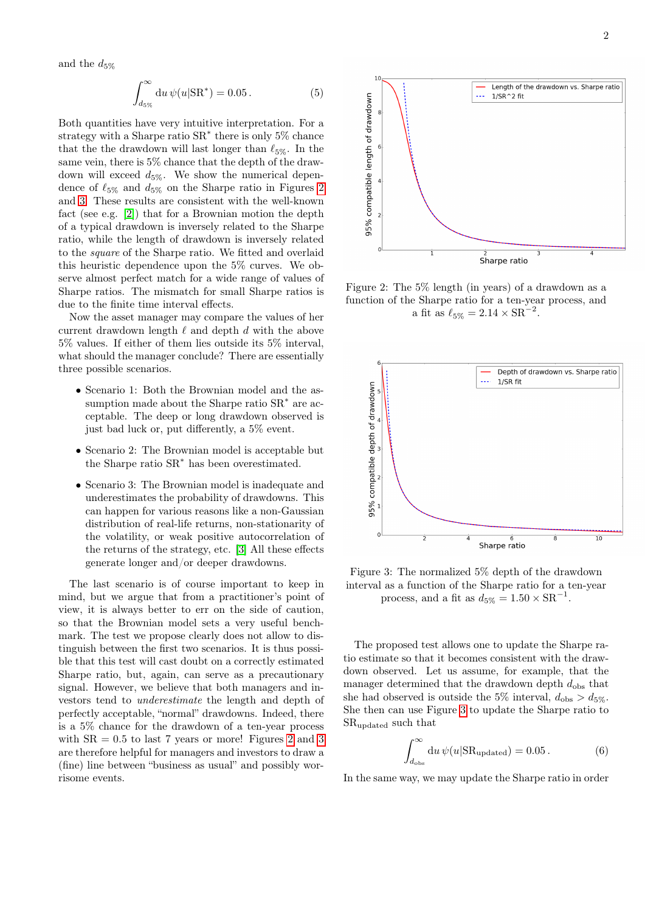and the  $d_{5\%}$ 

$$
\int_{d_{5\%}}^{\infty} du \,\psi(u|SR^*) = 0.05. \tag{5}
$$

Both quantities have very intuitive interpretation. For a strategy with a Sharpe ratio  $SR^*$  there is only 5% chance that the the drawdown will last longer than  $\ell_{5\%}$ . In the same vein, there is 5% chance that the depth of the drawdown will exceed  $d_{5\%}$ . We show the numerical dependence of  $\ell_{5\%}$  and  $d_{5\%}$  on the Sharpe ratio in Figures [2](#page-1-0) and [3.](#page-1-1) These results are consistent with the well-known fact (see e.g. [\[2\]](#page-3-1)) that for a Brownian motion the depth of a typical drawdown is inversely related to the Sharpe ratio, while the length of drawdown is inversely related to the square of the Sharpe ratio. We fitted and overlaid this heuristic dependence upon the 5% curves. We observe almost perfect match for a wide range of values of Sharpe ratios. The mismatch for small Sharpe ratios is due to the finite time interval effects.

Now the asset manager may compare the values of her current drawdown length  $\ell$  and depth  $d$  with the above 5% values. If either of them lies outside its 5% interval, what should the manager conclude? There are essentially three possible scenarios.

- Scenario 1: Both the Brownian model and the assumption made about the Sharpe ratio  $SR^*$  are acceptable. The deep or long drawdown observed is just bad luck or, put differently, a 5% event.
- Scenario 2: The Brownian model is acceptable but the Sharpe ratio SR<sup>∗</sup> has been overestimated.
- Scenario 3: The Brownian model is inadequate and underestimates the probability of drawdowns. This can happen for various reasons like a non-Gaussian distribution of real-life returns, non-stationarity of the volatility, or weak positive autocorrelation of the returns of the strategy, etc. [\[3\]](#page-3-2) All these effects generate longer and/or deeper drawdowns.

The last scenario is of course important to keep in mind, but we argue that from a practitioner's point of view, it is always better to err on the side of caution, so that the Brownian model sets a very useful benchmark. The test we propose clearly does not allow to distinguish between the first two scenarios. It is thus possible that this test will cast doubt on a correctly estimated Sharpe ratio, but, again, can serve as a precautionary signal. However, we believe that both managers and investors tend to underestimate the length and depth of perfectly acceptable, "normal" drawdowns. Indeed, there is a 5% chance for the drawdown of a ten-year process with  $SR = 0.5$  to last 7 years or more! Figures [2](#page-1-0) and [3](#page-1-1) are therefore helpful for managers and investors to draw a (fine) line between "business as usual" and possibly worrisome events.



<span id="page-1-0"></span>Figure 2: The 5% length (in years) of a drawdown as a function of the Sharpe ratio for a ten-year process, and a fit as  $\ell_{5\%} = 2.14 \times SR^{-2}$ .



<span id="page-1-1"></span>Figure 3: The normalized 5% depth of the drawdown interval as a function of the Sharpe ratio for a ten-year process, and a fit as  $d_{5\%} = 1.50 \times \text{SR}^{-1}$ .

The proposed test allows one to update the Sharpe ratio estimate so that it becomes consistent with the drawdown observed. Let us assume, for example, that the manager determined that the drawdown depth  $d_{\text{obs}}$  that she had observed is outside the 5% interval,  $d_{\text{obs}} > d_{5\%}$ . She then can use Figure [3](#page-1-1) to update the Sharpe ratio to SRupdated such that

$$
\int_{d_{\text{obs}}}^{\infty} du \,\psi(u|\text{SR}_{\text{updated}}) = 0.05. \tag{6}
$$

In the same way, we may update the Sharpe ratio in order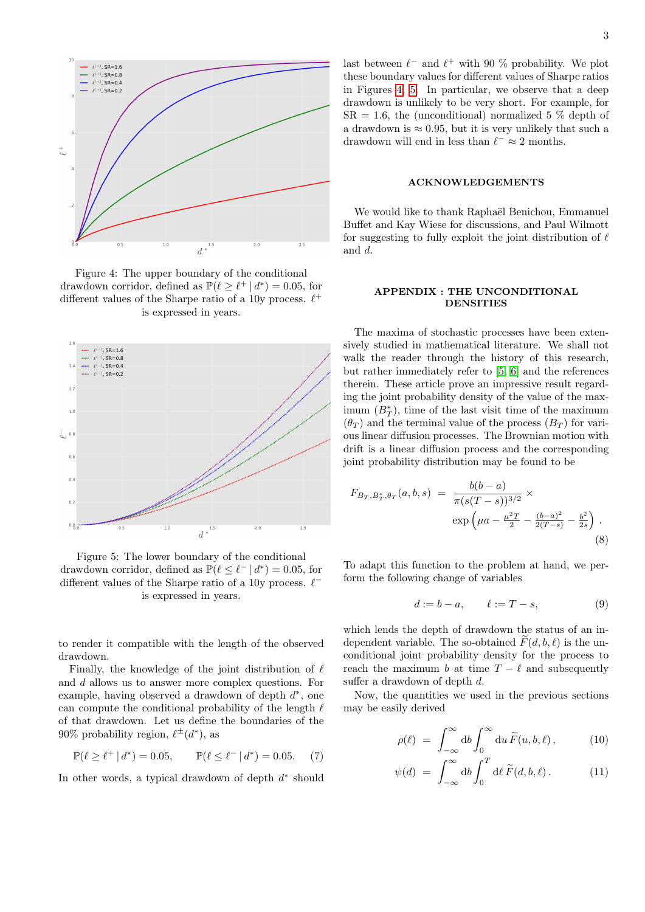

<span id="page-2-0"></span>Figure 4: The upper boundary of the conditional drawdown corridor, defined as  $\mathbb{P}(\ell \geq \ell^+ | d^*) = 0.05$ , for different values of the Sharpe ratio of a 10y process.  $\ell^+$ is expressed in years.



<span id="page-2-1"></span>Figure 5: The lower boundary of the conditional drawdown corridor, defined as  $\mathbb{P}(\ell \leq \ell^{-} | d^*) = 0.05$ , for different values of the Sharpe ratio of a 10y process.  $\ell^$ is expressed in years.

to render it compatible with the length of the observed drawdown.

Finally, the knowledge of the joint distribution of  $\ell$ and d allows us to answer more complex questions. For example, having observed a drawdown of depth  $d^*$ , one can compute the conditional probability of the length  $\ell$ of that drawdown. Let us define the boundaries of the 90% probability region,  $\ell^{\pm}(d^*)$ , as

$$
\mathbb{P}(\ell \ge \ell^+ \,|\, d^*) = 0.05, \qquad \mathbb{P}(\ell \le \ell^- \,|\, d^*) = 0.05. \tag{7}
$$

In other words, a typical drawdown of depth  $d^*$  should

# ACKNOWLEDGEMENTS

We would like to thank Raphaël Benichou, Emmanuel Buffet and Kay Wiese for discussions, and Paul Wilmott for suggesting to fully exploit the joint distribution of  $\ell$ and d.

## APPENDIX : THE UNCONDITIONAL **DENSITIES**

The maxima of stochastic processes have been extensively studied in mathematical literature. We shall not walk the reader through the history of this research, but rather immediately refer to [\[5,](#page-3-3) [6\]](#page-3-4) and the references therein. These article prove an impressive result regarding the joint probability density of the value of the maximum  $(B_T^*)$ , time of the last visit time of the maximum  $(\theta_T)$  and the terminal value of the process  $(B_T)$  for various linear diffusion processes. The Brownian motion with drift is a linear diffusion process and the corresponding joint probability distribution may be found to be

$$
F_{B_T, B_T^*, \theta_T}(a, b, s) = \frac{b(b-a)}{\pi (s(T-s))^{3/2}} \times \exp\left(\mu a - \frac{\mu^2 T}{2} - \frac{(b-a)^2}{2(T-s)} - \frac{b^2}{2s}\right).
$$
\n(8)

To adapt this function to the problem at hand, we perform the following change of variables

$$
d:=b-a, \qquad \ell:=T-s, \qquad \qquad (9)
$$

which lends the depth of drawdown the status of an independent variable. The so-obtained  $F(d, b, \ell)$  is the unconditional joint probability density for the process to reach the maximum b at time  $T - \ell$  and subsequently suffer a drawdown of depth d.

Now, the quantities we used in the previous sections may be easily derived

$$
\rho(\ell) = \int_{-\infty}^{\infty} \mathrm{d}b \int_{0}^{\infty} \mathrm{d}u \, \widetilde{F}(u, b, \ell) \,, \tag{10}
$$

$$
\psi(d) = \int_{-\infty}^{\infty} \mathrm{d}b \int_{0}^{T} \mathrm{d}\ell \, \widetilde{F}(d,b,\ell). \tag{11}
$$